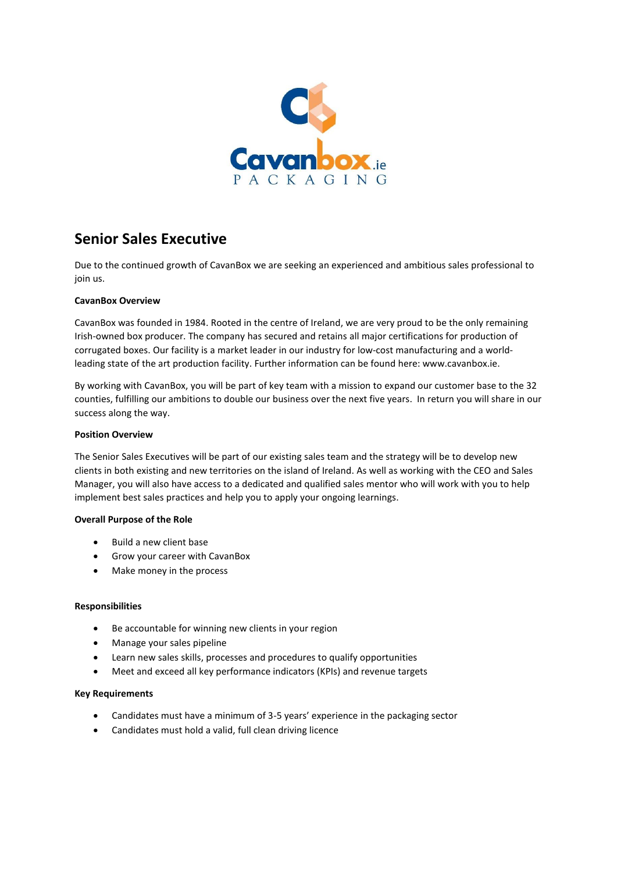

# **Senior Sales Executive**

Due to the continued growth of CavanBox we are seeking an experienced and ambitious sales professional to join us.

### **CavanBox Overview**

CavanBox was founded in 1984. Rooted in the centre of Ireland, we are very proud to be the only remaining Irish-owned box producer. The company has secured and retains all major certifications for production of corrugated boxes. Our facility is a market leader in our industry for low-cost manufacturing and a worldleading state of the art production facility. Further information can be found here: www.cavanbox.ie.

By working with CavanBox, you will be part of key team with a mission to expand our customer base to the 32 counties, fulfilling our ambitions to double our business over the next five years. In return you will share in our success along the way.

#### **Position Overview**

The Senior Sales Executives will be part of our existing sales team and the strategy will be to develop new clients in both existing and new territories on the island of Ireland. As well as working with the CEO and Sales Manager, you will also have access to a dedicated and qualified sales mentor who will work with you to help implement best sales practices and help you to apply your ongoing learnings.

#### **Overall Purpose of the Role**

- Build a new client base
- Grow your career with CavanBox
- Make money in the process

#### **Responsibilities**

- Be accountable for winning new clients in your region
- Manage your sales pipeline
- Learn new sales skills, processes and procedures to qualify opportunities
- Meet and exceed all key performance indicators (KPIs) and revenue targets

#### **Key Requirements**

- Candidates must have a minimum of 3-5 years' experience in the packaging sector
- Candidates must hold a valid, full clean driving licence